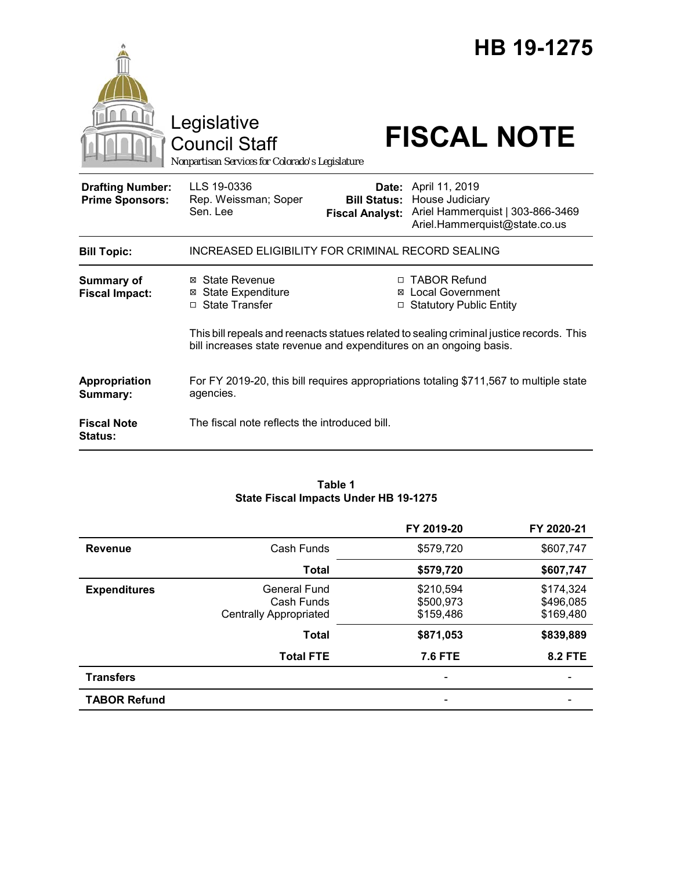|                                                   | Legislative<br><b>Council Staff</b><br>Nonpartisan Services for Colorado's Legislature                                                     |                                               | HB 19-1275<br><b>FISCAL NOTE</b>                                                                                                                                        |
|---------------------------------------------------|--------------------------------------------------------------------------------------------------------------------------------------------|-----------------------------------------------|-------------------------------------------------------------------------------------------------------------------------------------------------------------------------|
| <b>Drafting Number:</b><br><b>Prime Sponsors:</b> | LLS 19-0336<br>Rep. Weissman; Soper<br>Sen. Lee                                                                                            | <b>Bill Status:</b><br><b>Fiscal Analyst:</b> | Date: April 11, 2019<br>House Judiciary<br>Ariel Hammerquist   303-866-3469<br>Ariel.Hammerquist@state.co.us                                                            |
| <b>Bill Topic:</b>                                | <b>INCREASED ELIGIBILITY FOR CRIMINAL RECORD SEALING</b>                                                                                   |                                               |                                                                                                                                                                         |
| <b>Summary of</b><br><b>Fiscal Impact:</b>        | ⊠ State Revenue<br><b>State Expenditure</b><br>⊠<br>□ State Transfer<br>bill increases state revenue and expenditures on an ongoing basis. | ⊠                                             | □ TABOR Refund<br><b>Local Government</b><br><b>Statutory Public Entity</b><br>This bill repeals and reenacts statues related to sealing criminal justice records. This |
| Appropriation<br>Summary:                         | agencies.                                                                                                                                  |                                               | For FY 2019-20, this bill requires appropriations totaling \$711,567 to multiple state                                                                                  |
| <b>Fiscal Note</b><br><b>Status:</b>              | The fiscal note reflects the introduced bill.                                                                                              |                                               |                                                                                                                                                                         |

#### **Table 1 State Fiscal Impacts Under HB 19-1275**

|                     |                               | FY 2019-20     | FY 2020-21     |
|---------------------|-------------------------------|----------------|----------------|
| <b>Revenue</b>      | Cash Funds                    | \$579,720      | \$607,747      |
|                     | <b>Total</b>                  | \$579,720      | \$607,747      |
| <b>Expenditures</b> | General Fund                  | \$210,594      | \$174,324      |
|                     | Cash Funds                    | \$500,973      | \$496,085      |
|                     | <b>Centrally Appropriated</b> | \$159,486      | \$169,480      |
|                     | <b>Total</b>                  | \$871,053      | \$839,889      |
|                     | <b>Total FTE</b>              | <b>7.6 FTE</b> | <b>8.2 FTE</b> |
| <b>Transfers</b>    |                               |                |                |
| <b>TABOR Refund</b> |                               |                |                |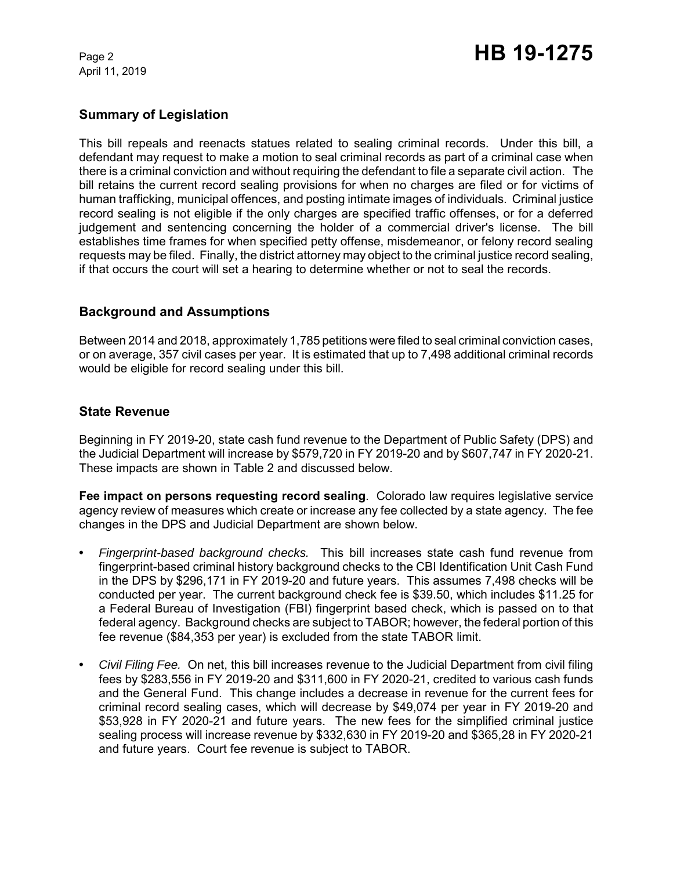April 11, 2019

# **Summary of Legislation**

This bill repeals and reenacts statues related to sealing criminal records. Under this bill, a defendant may request to make a motion to seal criminal records as part of a criminal case when there is a criminal conviction and without requiring the defendant to file a separate civil action. The bill retains the current record sealing provisions for when no charges are filed or for victims of human trafficking, municipal offences, and posting intimate images of individuals. Criminal justice record sealing is not eligible if the only charges are specified traffic offenses, or for a deferred judgement and sentencing concerning the holder of a commercial driver's license. The bill establishes time frames for when specified petty offense, misdemeanor, or felony record sealing requests may be filed. Finally, the district attorney may object to the criminal justice record sealing, if that occurs the court will set a hearing to determine whether or not to seal the records.

## **Background and Assumptions**

Between 2014 and 2018, approximately 1,785 petitions were filed to seal criminal conviction cases, or on average, 357 civil cases per year. It is estimated that up to 7,498 additional criminal records would be eligible for record sealing under this bill.

## **State Revenue**

Beginning in FY 2019-20, state cash fund revenue to the Department of Public Safety (DPS) and the Judicial Department will increase by \$579,720 in FY 2019-20 and by \$607,747 in FY 2020-21. These impacts are shown in Table 2 and discussed below.

**Fee impact on persons requesting record sealing**. Colorado law requires legislative service agency review of measures which create or increase any fee collected by a state agency. The fee changes in the DPS and Judicial Department are shown below.

- **•** *Fingerprint-based background checks.* This bill increases state cash fund revenue from fingerprint-based criminal history background checks to the CBI Identification Unit Cash Fund in the DPS by \$296,171 in FY 2019-20 and future years. This assumes 7,498 checks will be conducted per year. The current background check fee is \$39.50, which includes \$11.25 for a Federal Bureau of Investigation (FBI) fingerprint based check, which is passed on to that federal agency. Background checks are subject to TABOR; however, the federal portion of this fee revenue (\$84,353 per year) is excluded from the state TABOR limit.
- **•** *Civil Filing Fee.* On net, this bill increases revenue to the Judicial Department from civil filing fees by \$283,556 in FY 2019-20 and \$311,600 in FY 2020-21, credited to various cash funds and the General Fund. This change includes a decrease in revenue for the current fees for criminal record sealing cases, which will decrease by \$49,074 per year in FY 2019-20 and \$53,928 in FY 2020-21 and future years. The new fees for the simplified criminal justice sealing process will increase revenue by \$332,630 in FY 2019-20 and \$365,28 in FY 2020-21 and future years. Court fee revenue is subject to TABOR.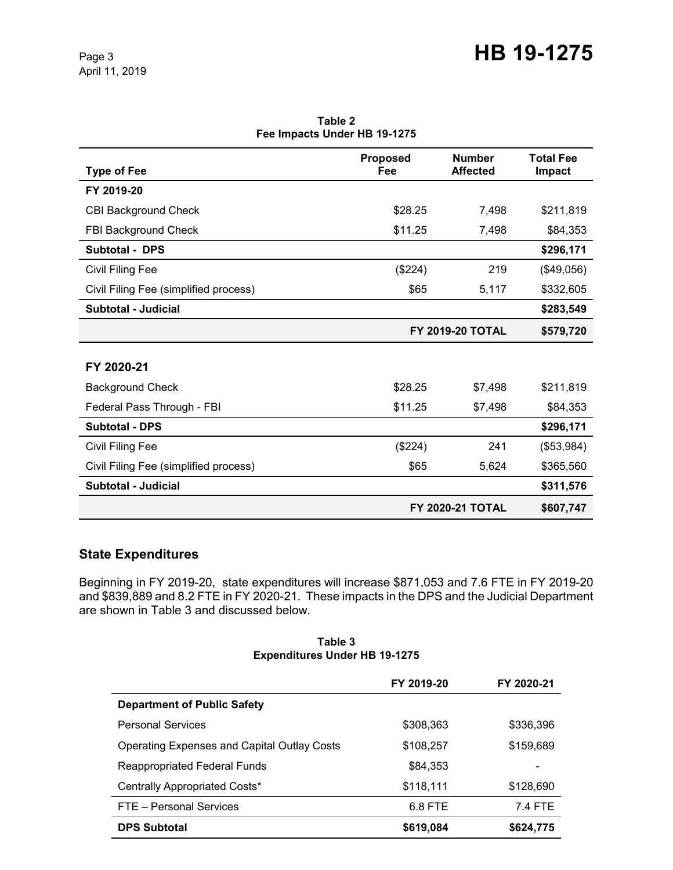| <b>Type of Fee</b>                    | <b>Proposed</b><br>Fee | <b>Number</b><br><b>Affected</b> | <b>Total Fee</b><br>Impact |
|---------------------------------------|------------------------|----------------------------------|----------------------------|
| FY 2019-20                            |                        |                                  |                            |
| <b>CBI Background Check</b>           | \$28.25                | 7,498                            | \$211,819                  |
| FBI Background Check                  | \$11.25                | 7,498                            | \$84,353                   |
| <b>Subtotal - DPS</b>                 |                        |                                  | \$296,171                  |
| Civil Filing Fee                      | (\$224)                | 219                              | (\$49,056)                 |
| Civil Filing Fee (simplified process) | \$65                   | 5,117                            | \$332,605                  |
| <b>Subtotal - Judicial</b>            |                        |                                  | \$283,549                  |
|                                       |                        | <b>FY 2019-20 TOTAL</b>          | \$579,720                  |
| FY 2020-21                            |                        |                                  |                            |
| <b>Background Check</b>               | \$28.25                | \$7,498                          | \$211,819                  |
| Federal Pass Through - FBI            | \$11.25                | \$7,498                          | \$84,353                   |
| <b>Subtotal - DPS</b>                 |                        |                                  | \$296,171                  |
| Civil Filing Fee                      | (\$224)                | 241                              | (\$53,984)                 |
| Civil Filing Fee (simplified process) | \$65                   | 5,624                            | \$365,560                  |
| Subtotal - Judicial                   |                        |                                  | \$311,576                  |
|                                       |                        | <b>FY 2020-21 TOTAL</b>          | \$607,747                  |

**Table 2 Fee Impacts Under HB 19-1275**

# **State Expenditures**

Beginning in FY 2019-20, state expenditures will increase \$871,053 and 7.6 FTE in FY 2019-20 and \$839,889 and 8.2 FTE in FY 2020-21. These impacts in the DPS and the Judicial Department are shown in Table 3 and discussed below.

#### **Table 3 Expenditures Under HB 19-1275**

|                                                    | FY 2019-20 | FY 2020-21 |
|----------------------------------------------------|------------|------------|
| <b>Department of Public Safety</b>                 |            |            |
| <b>Personal Services</b>                           | \$308,363  | \$336,396  |
| <b>Operating Expenses and Capital Outlay Costs</b> | \$108,257  | \$159,689  |
| <b>Reappropriated Federal Funds</b>                | \$84,353   |            |
| Centrally Appropriated Costs*                      | \$118,111  | \$128,690  |
| FTE - Personal Services                            | 6.8 FTE    | 7.4 FTE    |
| <b>DPS Subtotal</b>                                | \$619,084  | \$624,775  |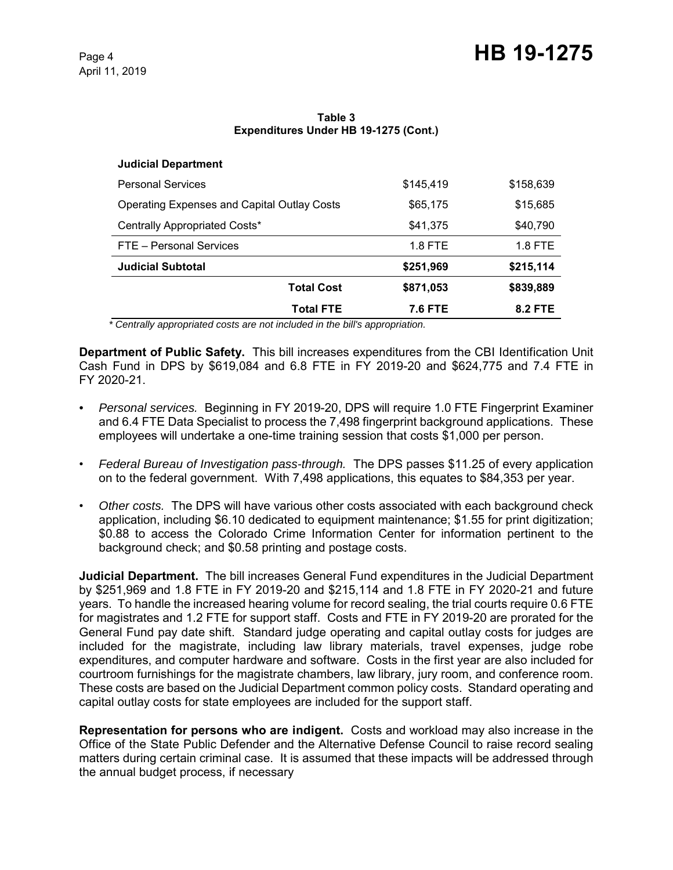#### **Table 3 Expenditures Under HB 19-1275 (Cont.)**

| <b>Judicial Department</b>                         |                   |           |           |
|----------------------------------------------------|-------------------|-----------|-----------|
| <b>Personal Services</b>                           |                   | \$145,419 | \$158,639 |
| <b>Operating Expenses and Capital Outlay Costs</b> |                   | \$65,175  | \$15,685  |
| Centrally Appropriated Costs*                      |                   | \$41,375  | \$40,790  |
| FTE - Personal Services                            |                   | 1.8 FTE   | 1.8 FTE   |
| <b>Judicial Subtotal</b>                           |                   | \$251,969 | \$215,114 |
|                                                    | <b>Total Cost</b> | \$871,053 | \$839,889 |
|                                                    | Total FTE         | 7.6 FTE   | 8.2 FTE   |

 *\* Centrally appropriated costs are not included in the bill's appropriation.*

**Department of Public Safety.** This bill increases expenditures from the CBI Identification Unit Cash Fund in DPS by \$619,084 and 6.8 FTE in FY 2019-20 and \$624,775 and 7.4 FTE in FY 2020-21.

- *Personal services.* Beginning in FY 2019-20, DPS will require 1.0 FTE Fingerprint Examiner and 6.4 FTE Data Specialist to process the 7,498 fingerprint background applications. These employees will undertake a one-time training session that costs \$1,000 per person.
- *Federal Bureau of Investigation pass-through.* The DPS passes \$11.25 of every application on to the federal government. With 7,498 applications, this equates to \$84,353 per year.
- *Other costs.* The DPS will have various other costs associated with each background check application, including \$6.10 dedicated to equipment maintenance; \$1.55 for print digitization; \$0.88 to access the Colorado Crime Information Center for information pertinent to the background check; and \$0.58 printing and postage costs.

**Judicial Department.** The bill increases General Fund expenditures in the Judicial Department by \$251,969 and 1.8 FTE in FY 2019-20 and \$215,114 and 1.8 FTE in FY 2020-21 and future years. To handle the increased hearing volume for record sealing, the trial courts require 0.6 FTE for magistrates and 1.2 FTE for support staff. Costs and FTE in FY 2019-20 are prorated for the General Fund pay date shift. Standard judge operating and capital outlay costs for judges are included for the magistrate, including law library materials, travel expenses, judge robe expenditures, and computer hardware and software. Costs in the first year are also included for courtroom furnishings for the magistrate chambers, law library, jury room, and conference room. These costs are based on the Judicial Department common policy costs. Standard operating and capital outlay costs for state employees are included for the support staff.

**Representation for persons who are indigent.** Costs and workload may also increase in the Office of the State Public Defender and the Alternative Defense Council to raise record sealing matters during certain criminal case. It is assumed that these impacts will be addressed through the annual budget process, if necessary